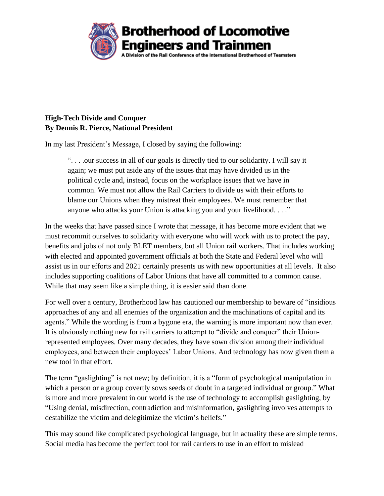

## **High-Tech Divide and Conquer By Dennis R. Pierce, National President**

In my last President's Message, I closed by saying the following:

". . . .our success in all of our goals is directly tied to our solidarity. I will say it again; we must put aside any of the issues that may have divided us in the political cycle and, instead, focus on the workplace issues that we have in common. We must not allow the Rail Carriers to divide us with their efforts to blame our Unions when they mistreat their employees. We must remember that anyone who attacks your Union is attacking you and your livelihood. . . ."

In the weeks that have passed since I wrote that message, it has become more evident that we must recommit ourselves to solidarity with everyone who will work with us to protect the pay, benefits and jobs of not only BLET members, but all Union rail workers. That includes working with elected and appointed government officials at both the State and Federal level who will assist us in our efforts and 2021 certainly presents us with new opportunities at all levels. It also includes supporting coalitions of Labor Unions that have all committed to a common cause. While that may seem like a simple thing, it is easier said than done.

For well over a century, Brotherhood law has cautioned our membership to beware of "insidious approaches of any and all enemies of the organization and the machinations of capital and its agents." While the wording is from a bygone era, the warning is more important now than ever. It is obviously nothing new for rail carriers to attempt to "divide and conquer" their Unionrepresented employees. Over many decades, they have sown division among their individual employees, and between their employees' Labor Unions. And technology has now given them a new tool in that effort.

The term "gaslighting" is not new; by definition, it is a "form of psychological manipulation in which a person or a group covertly sows seeds of doubt in a targeted individual or group." What is more and more prevalent in our world is the use of technology to accomplish gaslighting, by "Using denial, misdirection, contradiction and misinformation, gaslighting involves attempts to destabilize the victim and delegitimize the victim's beliefs."

This may sound like complicated psychological language, but in actuality these are simple terms. Social media has become the perfect tool for rail carriers to use in an effort to mislead